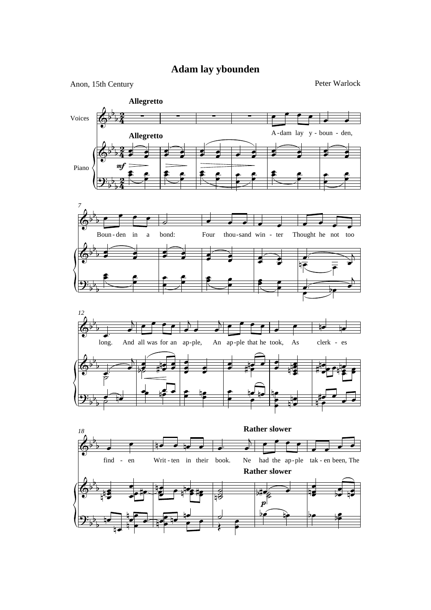## Adam lay ybounden

Peter Warlock



Anon, 15th Century